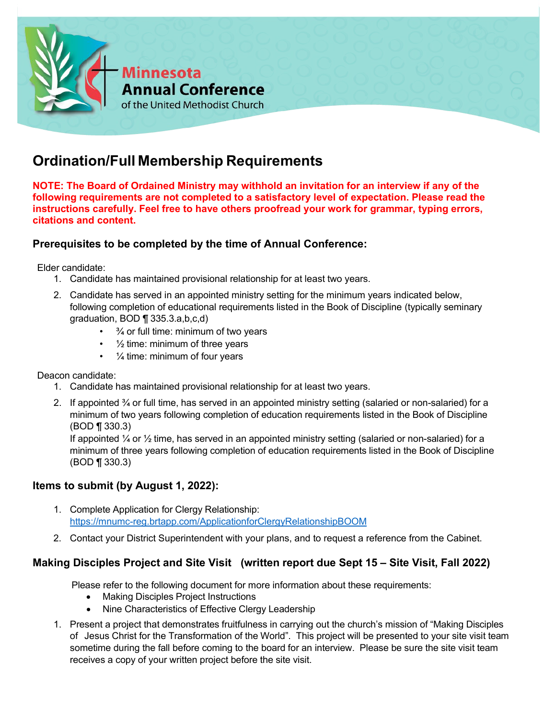

# **Ordination/Full Membership Requirements**

**NOTE: The Board of Ordained Ministry may withhold an invitation for an interview if any of the following requirements are not completed to a satisfactory level of expectation. Please read the instructions carefully. Feel free to have others proofread your work for grammar, typing errors, citations and content.**

## **Prerequisites to be completed by the time of Annual Conference:**

Elder candidate:

- 1. Candidate has maintained provisional relationship for at least two years.
- 2. Candidate has served in an appointed ministry setting for the minimum years indicated below, following completion of educational requirements listed in the Book of Discipline (typically seminary graduation, BOD ¶ 335.3.a,b,c,d)
	- $\cdot$   $\frac{3}{4}$  or full time: minimum of two years
	- $\cdot$   $\frac{1}{2}$  time: minimum of three years
	- $\cdot$   $\frac{1}{4}$  time: minimum of four years

Deacon candidate:

- 1. Candidate has maintained provisional relationship for at least two years.
- 2. If appointed  $\frac{3}{4}$  or full time, has served in an appointed ministry setting (salaried or non-salaried) for a minimum of two years following completion of education requirements listed in the Book of Discipline (BOD ¶ 330.3)

If appointed  $\frac{1}{4}$  or  $\frac{1}{2}$  time, has served in an appointed ministry setting (salaried or non-salaried) for a minimum of three years following completion of education requirements listed in the Book of Discipline (BOD ¶ 330.3)

## **Items to submit (by August 1, 2022):**

- 1. Complete Application for Clergy Relationship: <https://mnumc-reg.brtapp.com/ApplicationforClergyRelationshipBOOM>
- 2. Contact your District Superintendent with your plans, and to request a reference from the Cabinet.

## **Making Disciples Project and Site Visit (written report due Sept 15 – Site Visit, Fall 2022)**

Please refer to the following document for more information about these requirements:

- Making Disciples Project Instructions
- Nine Characteristics of Effective Clergy Leadership
- 1. Present a project that demonstrates fruitfulness in carrying out the church's mission of "Making Disciples of Jesus Christ for the Transformation of the World". This project will be presented to your site visit team sometime during the fall before coming to the board for an interview. Please be sure the site visit team receives a copy of your written project before the site visit.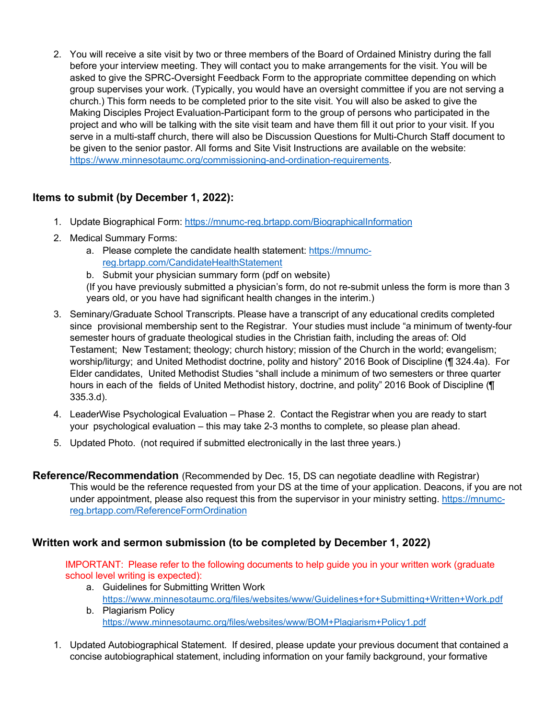2. You will receive a site visit by two or three members of the Board of Ordained Ministry during the fall before your interview meeting. They will contact you to make arrangements for the visit. You will be asked to give the SPRC-Oversight Feedback Form to the appropriate committee depending on which group supervises your work. (Typically, you would have an oversight committee if you are not serving a church.) This form needs to be completed prior to the site visit. You will also be asked to give the Making Disciples Project Evaluation-Participant form to the group of persons who participated in the project and who will be talking with the site visit team and have them fill it out prior to your visit. If you serve in a multi-staff church, there will also be Discussion Questions for Multi-Church Staff document to be given to the senior pastor. All forms and Site Visit Instructions are available on the website: [https://www.minnesotaumc.org/commissioning-and-ordination-requirements.](https://www.minnesotaumc.org/commissioning-and-ordination-requirements)

## **Items to submit (by December 1, 2022):**

- 1. Update Biographical Form:<https://mnumc-reg.brtapp.com/BiographicalInformation>
- 2. Medical Summary Forms:
	- a. Please complete the candidate health statement: [https://mnumc](https://mnumc-reg.brtapp.com/CandidateHealthStatement)[reg.brtapp.com/CandidateHealthStatement](https://mnumc-reg.brtapp.com/CandidateHealthStatement)
	- b. Submit your physician summary form (pdf on website)

(If you have previously submitted a physician's form, do not re-submit unless the form is more than 3 years old, or you have had significant health changes in the interim.)

- 3. Seminary/Graduate School Transcripts. Please have a transcript of any educational credits completed since provisional membership sent to the Registrar. Your studies must include "a minimum of twenty-four semester hours of graduate theological studies in the Christian faith, including the areas of: Old Testament; New Testament; theology; church history; mission of the Church in the world; evangelism; worship/liturgy; and United Methodist doctrine, polity and history" 2016 Book of Discipline (¶ 324.4a). For Elder candidates, United Methodist Studies "shall include a minimum of two semesters or three quarter hours in each of the fields of United Methodist history, doctrine, and polity" 2016 Book of Discipline (¶ 335.3.d).
- 4. LeaderWise Psychological Evaluation Phase 2. Contact the Registrar when you are ready to start your psychological evaluation – this may take 2-3 months to complete, so please plan ahead.
- 5. Updated Photo. (not required if submitted electronically in the last three years.)
- **Reference/Recommendation** (Recommended by Dec. 15, DS can negotiate deadline with Registrar) This would be the reference requested from your DS at the time of your application. Deacons, if you are not under appointment, please also request this from the supervisor in your ministry setting[. https://mnumc](https://mnumc-reg.brtapp.com/ReferenceFormOrdination)[reg.brtapp.com/ReferenceFormOrdination](https://mnumc-reg.brtapp.com/ReferenceFormOrdination)

## **Written work and sermon submission (to be completed by December 1, 2022)**

IMPORTANT: Please refer to the following documents to help guide you in your written work (graduate school level writing is expected):

- a. Guidelines for Submitting Written Work <https://www.minnesotaumc.org/files/websites/www/Guidelines+for+Submitting+Written+Work.pdf>
- b. Plagiarism Policy <https://www.minnesotaumc.org/files/websites/www/BOM+Plagiarism+Policy1.pdf>
- 1. Updated Autobiographical Statement. If desired, please update your previous document that contained a concise autobiographical statement, including information on your family background, your formative